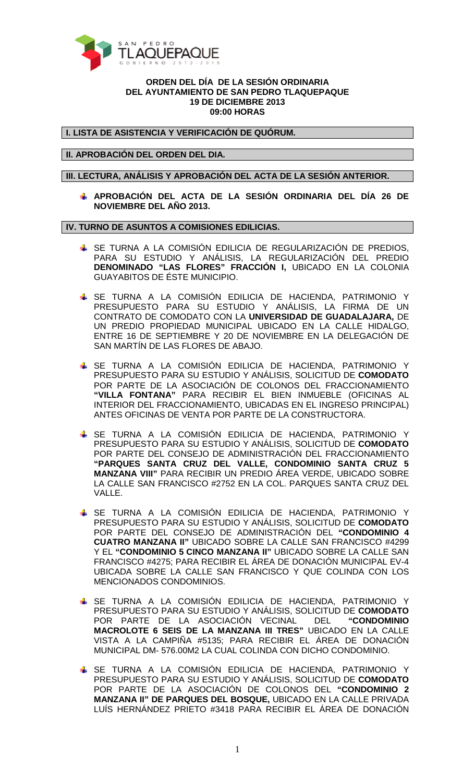

### **ORDEN DEL DÍA DE LA SESIÓN ORDINARIA DEL AYUNTAMIENTO DE SAN PEDRO TLAQUEPAQUE 19 DE DICIEMBRE 2013 09:00 HORAS**

**I. LISTA DE ASISTENCIA Y VERIFICACIÓN DE QUÓRUM.** 

**II. APROBACIÓN DEL ORDEN DEL DIA.** 

**III. LECTURA, ANÁLISIS Y APROBACIÓN DEL ACTA DE LA SESIÓN ANTERIOR.** 

**APROBACIÓN DEL ACTA DE LA SESIÓN ORDINARIA DEL DÍA 26 DE NOVIEMBRE DEL AÑO 2013.** 

**IV. TURNO DE ASUNTOS A COMISIONES EDILICIAS.** 

- SE TURNA A LA COMISIÓN EDILICIA DE REGULARIZACIÓN DE PREDIOS, PARA SU ESTUDIO Y ANÁLISIS, LA REGULARIZACIÓN DEL PREDIO **DENOMINADO "LAS FLORES" FRACCIÓN I,** UBICADO EN LA COLONIA GUAYABITOS DE ÉSTE MUNICIPIO.
- SE TURNA A LA COMISIÓN EDILICIA DE HACIENDA, PATRIMONIO Y PRESUPUESTO PARA SU ESTUDIO Y ANÁLISIS, LA FIRMA DE UN CONTRATO DE COMODATO CON LA **UNIVERSIDAD DE GUADALAJARA,** DE UN PREDIO PROPIEDAD MUNICIPAL UBICADO EN LA CALLE HIDALGO, ENTRE 16 DE SEPTIEMBRE Y 20 DE NOVIEMBRE EN LA DELEGACIÓN DE SAN MARTÍN DE LAS FLORES DE ABAJO.
- SE TURNA A LA COMISIÓN EDILICIA DE HACIENDA, PATRIMONIO Y PRESUPUESTO PARA SU ESTUDIO Y ANÁLISIS, SOLICITUD DE **COMODATO** POR PARTE DE LA ASOCIACIÓN DE COLONOS DEL FRACCIONAMIENTO **"VILLA FONTANA"** PARA RECIBIR EL BIEN INMUEBLE (OFICINAS AL INTERIOR DEL FRACCIONAMIENTO, UBICADAS EN EL INGRESO PRINCIPAL) ANTES OFICINAS DE VENTA POR PARTE DE LA CONSTRUCTORA.
- SE TURNA A LA COMISIÓN EDILICIA DE HACIENDA, PATRIMONIO Y PRESUPUESTO PARA SU ESTUDIO Y ANÁLISIS, SOLICITUD DE **COMODATO** POR PARTE DEL CONSEJO DE ADMINISTRACIÓN DEL FRACCIONAMIENTO **"PARQUES SANTA CRUZ DEL VALLE, CONDOMINIO SANTA CRUZ 5 MANZANA VIII"** PARA RECIBIR UN PREDIO ÁREA VERDE, UBICADO SOBRE LA CALLE SAN FRANCISCO #2752 EN LA COL. PARQUES SANTA CRUZ DEL VALLE.
- SE TURNA A LA COMISIÓN EDILICIA DE HACIENDA, PATRIMONIO Y PRESUPUESTO PARA SU ESTUDIO Y ANÁLISIS, SOLICITUD DE **COMODATO** POR PARTE DEL CONSEJO DE ADMINISTRACIÓN DEL **"CONDOMINIO 4 CUATRO MANZANA II"** UBICADO SOBRE LA CALLE SAN FRANCISCO #4299 Y EL **"CONDOMINIO 5 CINCO MANZANA II"** UBICADO SOBRE LA CALLE SAN FRANCISCO #4275; PARA RECIBIR EL ÁREA DE DONACIÓN MUNICIPAL EV-4 UBICADA SOBRE LA CALLE SAN FRANCISCO Y QUE COLINDA CON LOS MENCIONADOS CONDOMINIOS.
- SE TURNA A LA COMISIÓN EDILICIA DE HACIENDA, PATRIMONIO Y PRESUPUESTO PARA SU ESTUDIO Y ANÁLISIS, SOLICITUD DE **COMODATO** POR PARTE DE LA ASOCIACIÓN VECINAL DEL **"CONDOMINIO MACROLOTE 6 SEIS DE LA MANZANA III TRES"** UBICADO EN LA CALLE VISTA A LA CAMPIÑA #5135; PARA RECIBIR EL ÁREA DE DONACIÓN MUNICIPAL DM- 576.00M2 LA CUAL COLINDA CON DICHO CONDOMINIO.
- SE TURNA A LA COMISIÓN EDILICIA DE HACIENDA, PATRIMONIO Y PRESUPUESTO PARA SU ESTUDIO Y ANÁLISIS, SOLICITUD DE **COMODATO** POR PARTE DE LA ASOCIACIÓN DE COLONOS DEL **"CONDOMINIO 2 MANZANA II" DE PARQUES DEL BOSQUE,** UBICADO EN LA CALLE PRIVADA LUÍS HERNÁNDEZ PRIETO #3418 PARA RECIBIR EL ÁREA DE DONACIÓN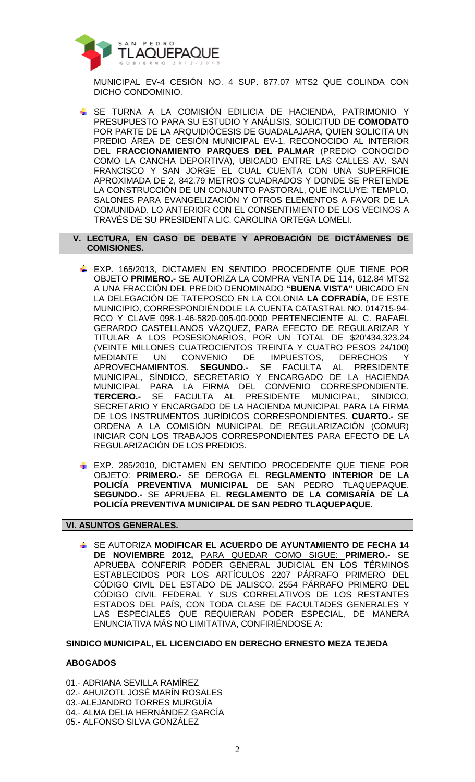

MUNICIPAL EV-4 CESIÓN NO. 4 SUP. 877.07 MTS2 QUE COLINDA CON DICHO CONDOMINIO.

 SE TURNA A LA COMISIÓN EDILICIA DE HACIENDA, PATRIMONIO Y PRESUPUESTO PARA SU ESTUDIO Y ANÁLISIS, SOLICITUD DE **COMODATO** POR PARTE DE LA ARQUIDIÓCESIS DE GUADALAJARA, QUIEN SOLICITA UN PREDIO ÁREA DE CESIÓN MUNICIPAL EV-1, RECONOCIDO AL INTERIOR DEL **FRACCIONAMIENTO PARQUES DEL PALMAR** (PREDIO CONOCIDO COMO LA CANCHA DEPORTIVA), UBICADO ENTRE LAS CALLES AV. SAN FRANCISCO Y SAN JORGE EL CUAL CUENTA CON UNA SUPERFICIE APROXIMADA DE 2, 842.79 METROS CUADRADOS Y DONDE SE PRETENDE LA CONSTRUCCIÓN DE UN CONJUNTO PASTORAL, QUE INCLUYE: TEMPLO, SALONES PARA EVANGELIZACIÓN Y OTROS ELEMENTOS A FAVOR DE LA COMUNIDAD. LO ANTERIOR CON EL CONSENTIMIENTO DE LOS VECINOS A TRAVÉS DE SU PRESIDENTA LIC. CAROLINA ORTEGA LOMELI.

 **V. LECTURA, EN CASO DE DEBATE Y APROBACIÓN DE DICTÁMENES DE COMISIONES.** 

- EXP. 165/2013, DICTAMEN EN SENTIDO PROCEDENTE QUE TIENE POR OBJETO **PRIMERO.-** SE AUTORIZA LA COMPRA VENTA DE 114, 612.84 MTS2 A UNA FRACCIÓN DEL PREDIO DENOMINADO **"BUENA VISTA"** UBICADO EN LA DELEGACIÓN DE TATEPOSCO EN LA COLONIA **LA COFRADÍA,** DE ESTE MUNICIPIO, CORRESPONDIÉNDOLE LA CUENTA CATASTRAL NO. 014715-94- RCO Y CLAVE 098-1-46-5820-005-00-0000 PERTENECIENTE AL C. RAFAEL GERARDO CASTELLANOS VÁZQUEZ, PARA EFECTO DE REGULARIZAR Y TITULAR A LOS POSESIONARIOS, POR UN TOTAL DE \$20'434,323.24 (VEINTE MILLONES CUATROCIENTOS TREINTA Y CUATRO PESOS 24/100) MEDIANTE UN CONVENIO DE IMPUESTOS, DERECHOS Y APROVECHAMIENTOS. **SEGUNDO.-** SE FACULTA AL PRESIDENTE MUNICIPAL, SÍNDICO, SECRETARIO Y ENCARGADO DE LA HACIENDA MUNICIPAL PARA LA FIRMA DEL CONVENIO CORRESPONDIENTE. **TERCERO.-** SE FACULTA AL PRESIDENTE MUNICIPAL, SINDICO, SECRETARIO Y ENCARGADO DE LA HACIENDA MUNICIPAL PARA LA FIRMA DE LOS INSTRUMENTOS JURÍDICOS CORRESPONDIENTES. **CUARTO.-** SE ORDENA A LA COMISIÓN MUNICIPAL DE REGULARIZACIÓN (COMUR) INICIAR CON LOS TRABAJOS CORRESPONDIENTES PARA EFECTO DE LA REGULARIZACIÓN DE LOS PREDIOS.
- EXP. 285/2010, DICTAMEN EN SENTIDO PROCEDENTE QUE TIENE POR OBJETO: **PRIMERO.-** SE DEROGA EL **REGLAMENTO INTERIOR DE LA POLICÍA PREVENTIVA MUNICIPAL** DE SAN PEDRO TLAQUEPAQUE. **SEGUNDO.-** SE APRUEBA EL **REGLAMENTO DE LA COMISARÍA DE LA POLICÍA PREVENTIVA MUNICIPAL DE SAN PEDRO TLAQUEPAQUE.**

## **VI. ASUNTOS GENERALES.**

 SE AUTORIZA **MODIFICAR EL ACUERDO DE AYUNTAMIENTO DE FECHA 14 DE NOVIEMBRE 2012,** PARA QUEDAR COMO SIGUE: **PRIMERO.-** SE APRUEBA CONFERIR PODER GENERAL JUDICIAL EN LOS TÉRMINOS ESTABLECIDOS POR LOS ARTÍCULOS 2207 PÁRRAFO PRIMERO DEL CÓDIGO CIVIL DEL ESTADO DE JALISCO, 2554 PÁRRAFO PRIMERO DEL CÓDIGO CIVIL FEDERAL Y SUS CORRELATIVOS DE LOS RESTANTES ESTADOS DEL PAÍS, CON TODA CLASE DE FACULTADES GENERALES Y LAS ESPECIALES QUE REQUIERAN PODER ESPECIAL, DE MANERA ENUNCIATIVA MÁS NO LIMITATIVA, CONFIRIÉNDOSE A:

#### **SINDICO MUNICIPAL, EL LICENCIADO EN DERECHO ERNESTO MEZA TEJEDA**

# **ABOGADOS**

01.- ADRIANA SEVILLA RAMÍREZ 02.- AHUIZOTL JOSÉ MARÍN ROSALES 03.-ALEJANDRO TORRES MURGUÍA 04.- ALMA DELIA HERNÁNDEZ GARCÍA 05.- ALFONSO SILVA GONZÁLEZ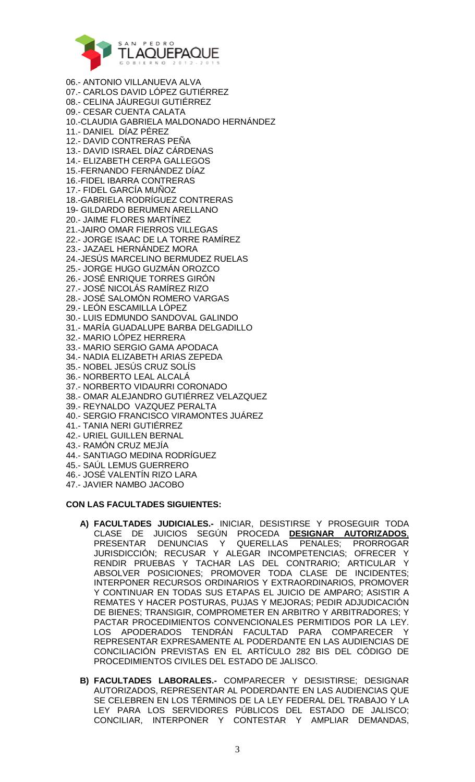

06.- ANTONIO VILLANUEVA ALVA 07.- CARLOS DAVID LÓPEZ GUTIÉRREZ 08.- CELINA JÁUREGUI GUTIÉRREZ 09.- CESAR CUENTA CALATA 10.-CLAUDIA GABRIELA MALDONADO HERNÁNDEZ 11.- DANIEL DÍAZ PÉREZ 12.- DAVID CONTRERAS PEÑA 13.- DAVID ISRAEL DÍAZ CÁRDENAS 14.- ELIZABETH CERPA GALLEGOS 15.-FERNANDO FERNÁNDEZ DÍAZ 16.-FIDEL IBARRA CONTRERAS 17.- FIDEL GARCÍA MUÑOZ 18.-GABRIELA RODRÍGUEZ CONTRERAS 19- GILDARDO BERUMEN ARELLANO 20.- JAIME FLORES MARTÍNEZ 21.-JAIRO OMAR FIERROS VILLEGAS 22.- JORGE ISAAC DE LA TORRE RAMÍREZ 23.- JAZAEL HERNÁNDEZ MORA 24.-JESÚS MARCELINO BERMUDEZ RUELAS 25.- JORGE HUGO GUZMÁN OROZCO 26.- JOSÉ ENRIQUE TORRES GIRÓN 27.- JOSÉ NICOLÁS RAMÍREZ RIZO 28.- JOSÉ SALOMÓN ROMERO VARGAS 29.- LEÓN ESCAMILLA LÓPEZ 30.- LUIS EDMUNDO SANDOVAL GALINDO 31.- MARÍA GUADALUPE BARBA DELGADILLO 32.- MARIO LÓPEZ HERRERA 33.- MARIO SERGIO GAMA APODACA 34.- NADIA ELIZABETH ARIAS ZEPEDA 35.- NOBEL JESÚS CRUZ SOLÍS 36.- NORBERTO LEAL ALCALÁ 37.- NORBERTO VIDAURRI CORONADO 38.- OMAR ALEJANDRO GUTIÉRREZ VELAZQUEZ 39.- REYNALDO VAZQUEZ PERALTA 40.- SERGIO FRANCISCO VIRAMONTES JUÁREZ 41.- TANIA NERI GUTIÉRREZ 42.- URIEL GUILLEN BERNAL 43.- RAMÓN CRUZ MEJÍA 44.- SANTIAGO MEDINA RODRÍGUEZ

- 45.- SAÚL LEMUS GUERRERO
- 46.- JOSÉ VALENTÍN RIZO LARA
- 47.- JAVIER NAMBO JACOBO

#### **CON LAS FACULTADES SIGUIENTES:**

- **A) FACULTADES JUDICIALES.-** INICIAR, DESISTIRSE Y PROSEGUIR TODA CLASE DE JUICIOS SEGÚN PROCEDA **DESIGNAR AUTORIZADOS**, PRESENTAR DENUNCIAS Y QUERELLAS PENALES; PRORROGAR JURISDICCIÓN; RECUSAR Y ALEGAR INCOMPETENCIAS; OFRECER Y RENDIR PRUEBAS Y TACHAR LAS DEL CONTRARIO; ARTICULAR Y ABSOLVER POSICIONES; PROMOVER TODA CLASE DE INCIDENTES; INTERPONER RECURSOS ORDINARIOS Y EXTRAORDINARIOS, PROMOVER Y CONTINUAR EN TODAS SUS ETAPAS EL JUICIO DE AMPARO; ASISTIR A REMATES Y HACER POSTURAS, PUJAS Y MEJORAS; PEDIR ADJUDICACIÓN DE BIENES; TRANSIGIR, COMPROMETER EN ARBITRO Y ARBITRADORES; Y PACTAR PROCEDIMIENTOS CONVENCIONALES PERMITIDOS POR LA LEY. LOS APODERADOS TENDRÁN FACULTAD PARA COMPARECER Y REPRESENTAR EXPRESAMENTE AL PODERDANTE EN LAS AUDIENCIAS DE CONCILIACIÓN PREVISTAS EN EL ARTÍCULO 282 BIS DEL CÓDIGO DE PROCEDIMIENTOS CIVILES DEL ESTADO DE JALISCO.
- **B) FACULTADES LABORALES.-** COMPARECER Y DESISTIRSE; DESIGNAR AUTORIZADOS, REPRESENTAR AL PODERDANTE EN LAS AUDIENCIAS QUE SE CELEBREN EN LOS TÉRMINOS DE LA LEY FEDERAL DEL TRABAJO Y LA LEY PARA LOS SERVIDORES PÚBLICOS DEL ESTADO DE JALISCO; CONCILIAR, INTERPONER Y CONTESTAR Y AMPLIAR DEMANDAS,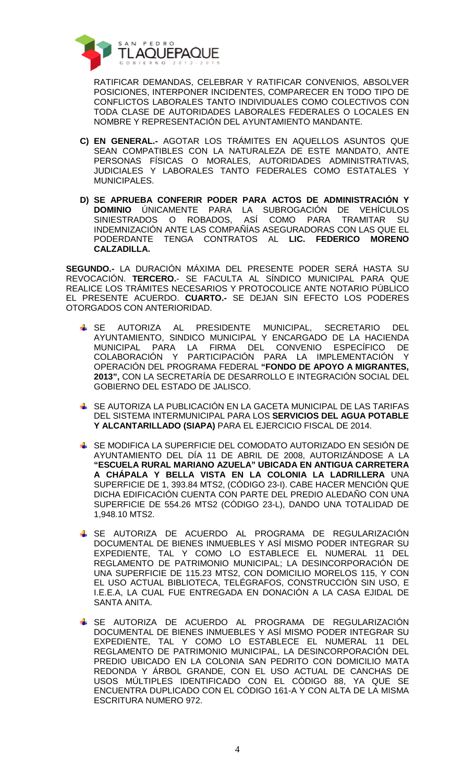

RATIFICAR DEMANDAS, CELEBRAR Y RATIFICAR CONVENIOS, ABSOLVER POSICIONES, INTERPONER INCIDENTES, COMPARECER EN TODO TIPO DE CONFLICTOS LABORALES TANTO INDIVIDUALES COMO COLECTIVOS CON TODA CLASE DE AUTORIDADES LABORALES FEDERALES O LOCALES EN NOMBRE Y REPRESENTACIÓN DEL AYUNTAMIENTO MANDANTE.

- **C) EN GENERAL.-** AGOTAR LOS TRÁMITES EN AQUELLOS ASUNTOS QUE SEAN COMPATIBLES CON LA NATURALEZA DE ESTE MANDATO, ANTE PERSONAS FÍSICAS O MORALES, AUTORIDADES ADMINISTRATIVAS, JUDICIALES Y LABORALES TANTO FEDERALES COMO ESTATALES Y MUNICIPALES.
- **D) SE APRUEBA CONFERIR PODER PARA ACTOS DE ADMINISTRACIÓN Y DOMINIO** ÚNICAMENTE PARA LA SUBROGACIÓN DE VEHÍCULOS SINIESTRADOS O ROBADOS, ASÍ COMO PARA TRAMITAR SU INDEMNIZACIÓN ANTE LAS COMPAÑÍAS ASEGURADORAS CON LAS QUE EL PODERDANTE TENGA CONTRATOS AL **LIC. FEDERICO MORENO CALZADILLA.**

**SEGUNDO.-** LA DURACIÓN MÁXIMA DEL PRESENTE PODER SERÁ HASTA SU REVOCACIÓN. **TERCERO.**- SE FACULTA AL SÍNDICO MUNICIPAL PARA QUE REALICE LOS TRÁMITES NECESARIOS Y PROTOCOLICE ANTE NOTARIO PÚBLICO EL PRESENTE ACUERDO. **CUARTO.-** SE DEJAN SIN EFECTO LOS PODERES OTORGADOS CON ANTERIORIDAD.

- SE AUTORIZA AL PRESIDENTE MUNICIPAL, SECRETARIO DEL AYUNTAMIENTO, SINDICO MUNICIPAL Y ENCARGADO DE LA HACIENDA MUNICIPAL PARA LA FIRMA DEL CONVENIO ESPECÍFICO DE COLABORACIÓN Y PARTICIPACIÓN PARA LA IMPLEMENTACIÓN Y OPERACIÓN DEL PROGRAMA FEDERAL **"FONDO DE APOYO A MIGRANTES, 2013",** CON LA SECRETARÍA DE DESARROLLO E INTEGRACIÓN SOCIAL DEL GOBIERNO DEL ESTADO DE JALISCO.
- SE AUTORIZA LA PUBLICACIÓN EN LA GACETA MUNICIPAL DE LAS TARIFAS DEL SISTEMA INTERMUNICIPAL PARA LOS **SERVICIOS DEL AGUA POTABLE Y ALCANTARILLADO (SIAPA)** PARA EL EJERCICIO FISCAL DE 2014.
- SE MODIFICA LA SUPERFICIE DEL COMODATO AUTORIZADO EN SESIÓN DE AYUNTAMIENTO DEL DÍA 11 DE ABRIL DE 2008, AUTORIZÁNDOSE A LA **"ESCUELA RURAL MARIANO AZUELA" UBICADA EN ANTIGUA CARRETERA A CHÁPALA Y BELLA VISTA EN LA COLONIA LA LADRILLERA** UNA SUPERFICIE DE 1, 393.84 MTS2, (CÓDIGO 23-I). CABE HACER MENCIÓN QUE DICHA EDIFICACIÓN CUENTA CON PARTE DEL PREDIO ALEDAÑO CON UNA SUPERFICIE DE 554.26 MTS2 (CÓDIGO 23-L), DANDO UNA TOTALIDAD DE 1,948.10 MTS2.
- SE AUTORIZA DE ACUERDO AL PROGRAMA DE REGULARIZACIÓN DOCUMENTAL DE BIENES INMUEBLES Y ASÍ MISMO PODER INTEGRAR SU EXPEDIENTE, TAL Y COMO LO ESTABLECE EL NUMERAL 11 DEL REGLAMENTO DE PATRIMONIO MUNICIPAL; LA DESINCORPORACIÓN DE UNA SUPERFICIE DE 115.23 MTS2, CON DOMICILIO MORELOS 115, Y CON EL USO ACTUAL BIBLIOTECA, TELÉGRAFOS, CONSTRUCCIÓN SIN USO, E I.E.E.A, LA CUAL FUE ENTREGADA EN DONACIÓN A LA CASA EJIDAL DE SANTA ANITA.
- SE AUTORIZA DE ACUERDO AL PROGRAMA DE REGULARIZACIÓN DOCUMENTAL DE BIENES INMUEBLES Y ASÍ MISMO PODER INTEGRAR SU EXPEDIENTE, TAL Y COMO LO ESTABLECE EL NUMERAL 11 DEL REGLAMENTO DE PATRIMONIO MUNICIPAL, LA DESINCORPORACIÓN DEL PREDIO UBICADO EN LA COLONIA SAN PEDRITO CON DOMICILIO MATA REDONDA Y ÁRBOL GRANDE, CON EL USO ACTUAL DE CANCHAS DE USOS MÚLTIPLES IDENTIFICADO CON EL CÓDIGO 88, YA QUE SE ENCUENTRA DUPLICADO CON EL CÓDIGO 161-A Y CON ALTA DE LA MISMA ESCRITURA NUMERO 972.